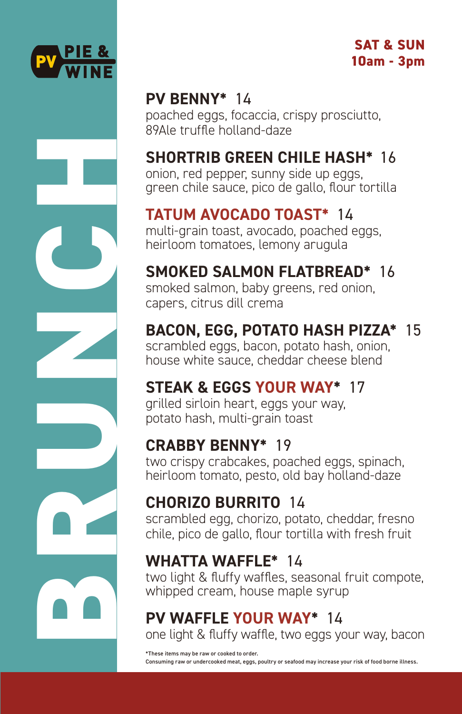

**BRUNCH** 

#### **SAT & SUN 10am - 3pm**

#### **PV BENNY\*** 14

poached eggs, focaccia, crispy prosciutto, 89Ale truffle holland-daze

# **SHORTRIB GREEN CHILE HASH\*** 16

onion, red pepper, sunny side up eggs, green chile sauce, pico de gallo, flour tortilla

# **TATUM AVOCADO TOAST\*** 14

multi-grain toast, avocado, poached eggs, heirloom tomatoes, lemony arugula

# **SMOKED SALMON FLATBREAD\*** 16

smoked salmon, baby greens, red onion, capers, citrus dill crema

# **BACON, EGG, POTATO HASH PIZZA\*** 15

scrambled eggs, bacon, potato hash, onion, house white sauce, cheddar cheese blend

#### **STEAK & EGGS YOUR WAY\*** 17

grilled sirloin heart, eggs your way, potato hash, multi-grain toast

#### **CRABBY BENNY\*** 19

two crispy crabcakes, poached eggs, spinach, heirloom tomato, pesto, old bay holland-daze

# **CHORIZO BURRITO** 14

scrambled egg, chorizo, potato, cheddar, fresno chile, pico de gallo, flour tortilla with fresh fruit

# **WHATTA WAFFLE\*** 14

two light & fluffy waffles, seasonal fruit compote, whipped cream, house maple syrup

# **PV WAFFLE YOUR WAY\*** 14

one light & fluffy waffle, two eggs your way, bacon

\*These items may be raw or cooked to order. Consuming raw or undercooked meat, eggs, poultry or seafood may increase your risk of food borne illness.